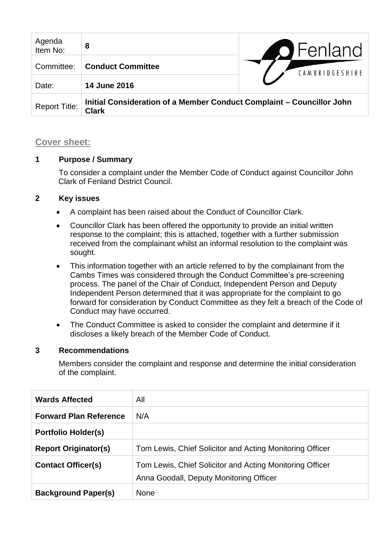| Agenda<br>Item No:   | 8                                                                                     | <b>O</b> Fenland |
|----------------------|---------------------------------------------------------------------------------------|------------------|
| Committee:           | <b>Conduct Committee</b>                                                              | CAMBRIDGESHIRE   |
| Date:                | <b>14 June 2016</b>                                                                   |                  |
| <b>Report Title:</b> | Initial Consideration of a Member Conduct Complaint – Councillor John<br><b>Clark</b> |                  |

## **Cover sheet:**

## **1 Purpose / Summary**

To consider a complaint under the Member Code of Conduct against Councillor John Clark of Fenland District Council.

# **2 Key issues**

- A complaint has been raised about the Conduct of Councillor Clark.
- Councillor Clark has been offered the opportunity to provide an initial written response to the complaint; this is attached, together with a further submission received from the complainant whilst an informal resolution to the complaint was sought.
- This information together with an article referred to by the complainant from the Cambs Times was considered through the Conduct Committee's pre-screening process. The panel of the Chair of Conduct, Independent Person and Deputy Independent Person determined that it was appropriate for the complaint to go forward for consideration by Conduct Committee as they felt a breach of the Code of Conduct may have occurred.
- The Conduct Committee is asked to consider the complaint and determine if it discloses a likely breach of the Member Code of Conduct.

## **3 Recommendations**

Members consider the complaint and response and determine the initial consideration of the complaint.

| <b>Wards Affected</b>         | All                                                                                                 |
|-------------------------------|-----------------------------------------------------------------------------------------------------|
| <b>Forward Plan Reference</b> | N/A                                                                                                 |
| <b>Portfolio Holder(s)</b>    |                                                                                                     |
| <b>Report Originator(s)</b>   | Tom Lewis, Chief Solicitor and Acting Monitoring Officer                                            |
| <b>Contact Officer(s)</b>     | Tom Lewis, Chief Solicitor and Acting Monitoring Officer<br>Anna Goodall, Deputy Monitoring Officer |
| <b>Background Paper(s)</b>    | <b>None</b>                                                                                         |